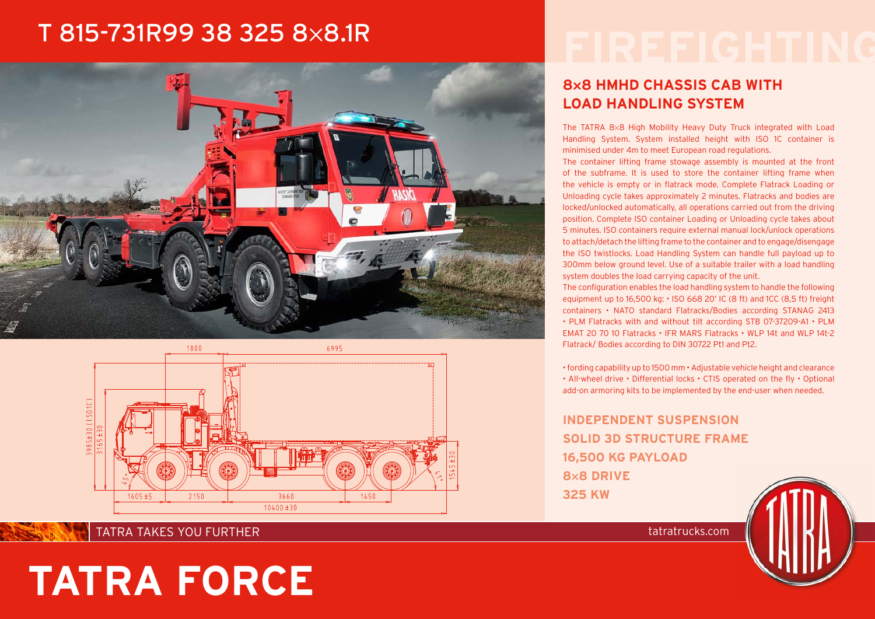# T 815-731R99 38 325 8×8.1R





## **8**×**8 HMHD CHASSIS CAB WITH LOAD HANDLING SYSTEM**

The TATRA 8×8 High Mobility Heavy Duty Truck integrated with Load Handling System. System installed height with ISO 1C container is minimised under 4m to meet European road regulations.

The container lifting frame stowage assembly is mounted at the front of the subframe. It is used to store the container lifting frame when the vehicle is empty or in flatrack mode. Complete Flatrack Loading or Unloading cycle takes approximately 2 minutes. Flatracks and bodies are locked/unlocked automatically, all operations carried out from the driving position. Complete ISO container Loading or Unloading cycle takes about 5 minutes. ISO containers require external manual lock/unlock operations to attach/detach the lifting frame to the container and to engage/disengage the ISO twistlocks. Load Handling System can handle full payload up to 300mm below ground level. Use of a suitable trailer with a load handling system doubles the load carrying capacity of the unit.

The configuration enables the load handling system to handle the following equipment up to 16,500 kg: • ISO 668 20' IC (8 ft) and 1CC (8,5 ft) freight containers • NATO standard Flatracks/Bodies according STANAG 2413 • PLM Flatracks with and without tilt according STB 07-37209-A1 • PLM EMAT 20 70 10 Flatracks • IFR MARS Flatracks • WLP 14t and WLP 14t-2 Flatrack/ Bodies according to DIN 30722 Pt1 and Pt2.

• fording capability up to 1500 mm • Adjustable vehicle height and clearance • All-wheel drive • Differential locks • CTIS operated on the fly • Optional add-on armoring kits to be implemented by the end-user when needed.

**INDEPENDENT SUSPENSION SOLID 3D STRUCTURE FRAME 16,500 KG PAYLOAD 8×8 DRIVE 325 KW**

#### TATRA TAKES YOU FURTHER TATRATRATRATRATRATES AND TATRATRATES OF TATRATRATES AND TATRATRATES OF TATRATES OF TAT

# **TATRA FORCE**